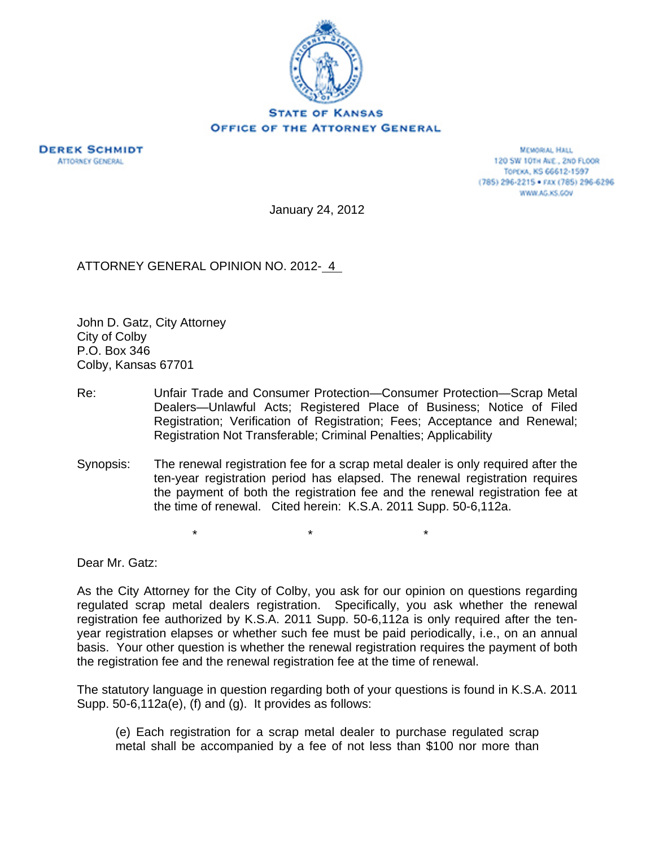

**DEREK SCHMIDT ATTORNEY GENERAL** 

**MEMORIAL HALL** 120 SW 101H AVE., 2ND FLOOR TOPEKA, KS 66612-1597 (785) 296-2215 · FAX (785) 296-6296 WWW.AG.KS.GOV

January 24, 2012

ATTORNEY GENERAL OPINION NO. 2012- 4

John D. Gatz, City Attorney City of Colby P.O. Box 346 Colby, Kansas 67701

- Re: Unfair Trade and Consumer Protection—Consumer Protection—Scrap Metal Dealers—Unlawful Acts; Registered Place of Business; Notice of Filed Registration; Verification of Registration; Fees; Acceptance and Renewal; Registration Not Transferable; Criminal Penalties; Applicability
- Synopsis: The renewal registration fee for a scrap metal dealer is only required after the ten-year registration period has elapsed. The renewal registration requires the payment of both the registration fee and the renewal registration fee at the time of renewal. Cited herein: K.S.A. 2011 Supp. 50-6,112a.

\* \* \*

Dear Mr. Gatz:

As the City Attorney for the City of Colby, you ask for our opinion on questions regarding regulated scrap metal dealers registration. Specifically, you ask whether the renewal registration fee authorized by K.S.A. 2011 Supp. 50-6,112a is only required after the tenyear registration elapses or whether such fee must be paid periodically, i.e., on an annual basis. Your other question is whether the renewal registration requires the payment of both the registration fee and the renewal registration fee at the time of renewal.

The statutory language in question regarding both of your questions is found in K.S.A. 2011 Supp. 50-6,112a(e), (f) and (g). It provides as follows:

(e) Each registration for a scrap metal dealer to purchase regulated scrap metal shall be accompanied by a fee of not less than \$100 nor more than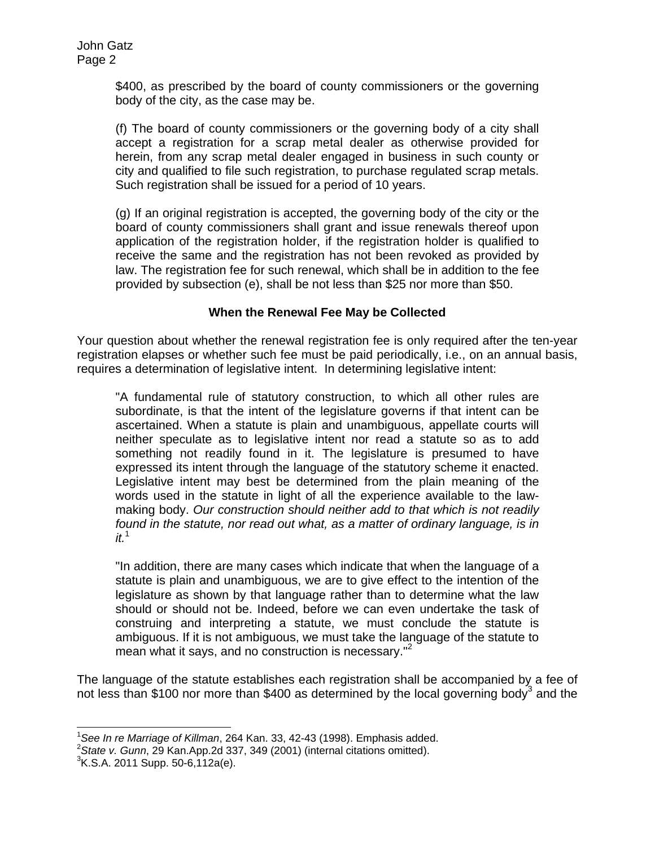\$400, as prescribed by the board of county commissioners or the governing body of the city, as the case may be.

(f) The board of county commissioners or the governing body of a city shall accept a registration for a scrap metal dealer as otherwise provided for herein, from any scrap metal dealer engaged in business in such county or city and qualified to file such registration, to purchase regulated scrap metals. Such registration shall be issued for a period of 10 years.

(g) If an original registration is accepted, the governing body of the city or the board of county commissioners shall grant and issue renewals thereof upon application of the registration holder, if the registration holder is qualified to receive the same and the registration has not been revoked as provided by law. The registration fee for such renewal, which shall be in addition to the fee provided by subsection (e), shall be not less than \$25 nor more than \$50.

## **When the Renewal Fee May be Collected**

Your question about whether the renewal registration fee is only required after the ten-year registration elapses or whether such fee must be paid periodically, i.e., on an annual basis, requires a determination of legislative intent. In determining legislative intent:

"A fundamental rule of statutory construction, to which all other rules are subordinate, is that the intent of the legislature governs if that intent can be ascertained. When a statute is plain and unambiguous, appellate courts will neither speculate as to legislative intent nor read a statute so as to add something not readily found in it. The legislature is presumed to have expressed its intent through the language of the statutory scheme it enacted. Legislative intent may best be determined from the plain meaning of the words used in the statute in light of all the experience available to the lawmaking body. *Our construction should neither add to that which is not readily found in the statute, nor read out what, as a matter of ordinary language, is in it.*1

"In addition, there are many cases which indicate that when the language of a statute is plain and unambiguous, we are to give effect to the intention of the legislature as shown by that language rather than to determine what the law should or should not be. Indeed, before we can even undertake the task of construing and interpreting a statute, we must conclude the statute is ambiguous. If it is not ambiguous, we must take the language of the statute to mean what it says, and no construction is necessary."<sup>2</sup>

The language of the statute establishes each registration shall be accompanied by a fee of not less than \$100 nor more than \$400 as determined by the local governing body<sup>3</sup> and the

 $1$ See In re Marriage of Killman, 264 Kan. 33, 42-43 (1998). Emphasis added. <sup>1</sup> See In re Marriage of Killman, 264 Kan. 33, 42-43 (1998). Emphasis added.<br><sup>2</sup> Stote v. Cunn. 20 Kan Ann 2d 227, 240 (2001) (internal gitations emitted).

*State v. Gunn*, 29 Kan.App.2d 337, 349 (2001) (internal citations omitted). 3

 ${}^{3}$ K.S.A. 2011 Supp. 50-6,112a(e).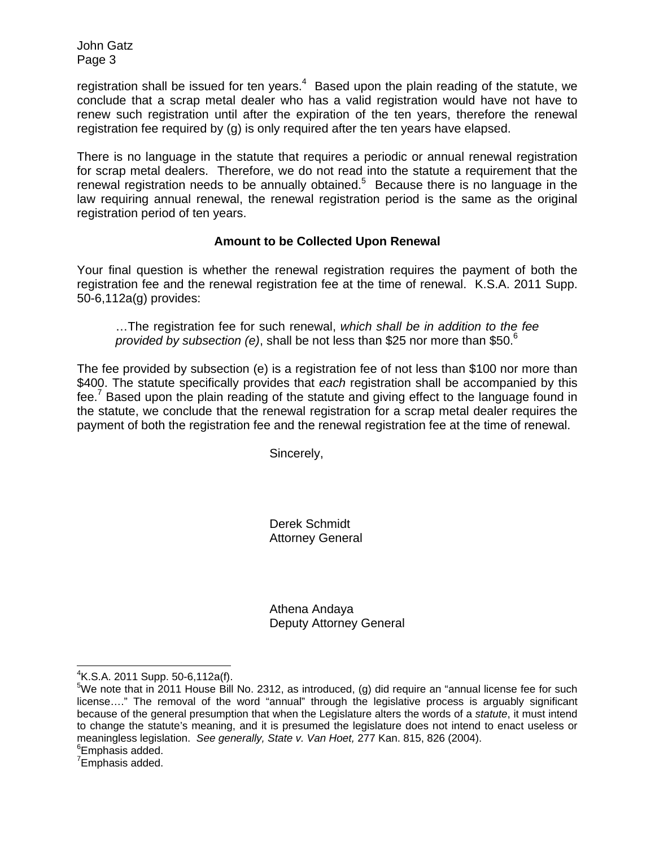John Gatz Page 3

registration shall be issued for ten years.<sup>4</sup> Based upon the plain reading of the statute, we conclude that a scrap metal dealer who has a valid registration would have not have to renew such registration until after the expiration of the ten years, therefore the renewal registration fee required by (g) is only required after the ten years have elapsed.

There is no language in the statute that requires a periodic or annual renewal registration for scrap metal dealers. Therefore, we do not read into the statute a requirement that the renewal registration needs to be annually obtained. $5$  Because there is no language in the law requiring annual renewal, the renewal registration period is the same as the original registration period of ten years.

## **Amount to be Collected Upon Renewal**

Your final question is whether the renewal registration requires the payment of both the registration fee and the renewal registration fee at the time of renewal. K.S.A. 2011 Supp. 50-6,112a(g) provides:

…The registration fee for such renewal, *which shall be in addition to the fee provided by subsection (e)*, shall be not less than \$25 nor more than \$50.6

The fee provided by subsection (e) is a registration fee of not less than \$100 nor more than \$400. The statute specifically provides that *each* registration shall be accompanied by this fee.<sup>7</sup> Based upon the plain reading of the statute and giving effect to the language found in the statute, we conclude that the renewal registration for a scrap metal dealer requires the payment of both the registration fee and the renewal registration fee at the time of renewal.

Sincerely,

Derek Schmidt Attorney General

Athena Andaya Deputy Attorney General

 $4$ K.S.A. 2011 Supp. 50-6,112a(f).

 $5$ We note that in 2011 House Bill No. 2312, as introduced, (g) did require an "annual license fee for such license…." The removal of the word "annual" through the legislative process is arguably significant because of the general presumption that when the Legislature alters the words of a *statute*, it must intend to change the statute's meaning, and it is presumed the legislature does not intend to enact useless or meaningless legislation. *See generally, State v. Van Hoet,* 277 Kan. 815, 826 (2004). <sup>6</sup>

<sup>&</sup>lt;sup>6</sup>Emphasis added.

<sup>&</sup>lt;sup>7</sup>Emphasis added.